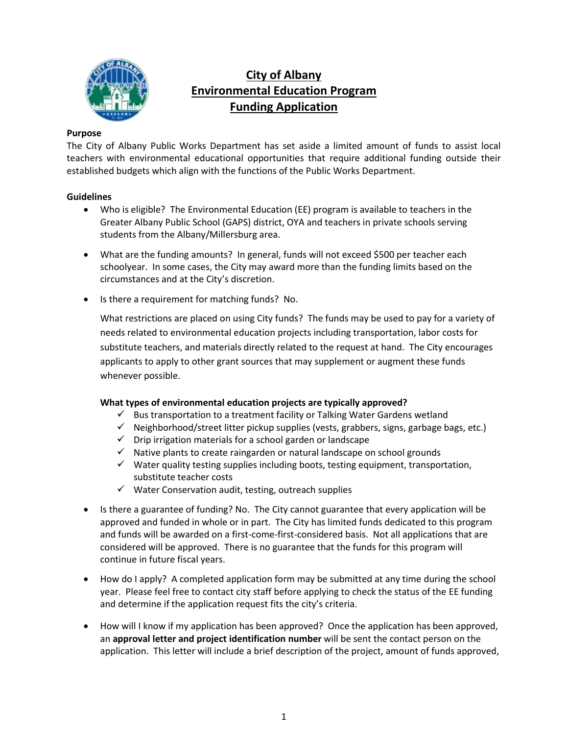

## **City of Albany Environmental Education Program Funding Application**

#### **Purpose**

The City of Albany Public Works Department has set aside a limited amount of funds to assist local teachers with environmental educational opportunities that require additional funding outside their established budgets which align with the functions of the Public Works Department.

#### **Guidelines**

- Who is eligible? The Environmental Education (EE) program is available to teachers in the Greater Albany Public School (GAPS) district, OYA and teachers in private schools serving students from the Albany/Millersburg area.
- What are the funding amounts? In general, funds will not exceed \$500 per teacher each schoolyear. In some cases, the City may award more than the funding limits based on the circumstances and at the City's discretion.
- Is there a requirement for matching funds? No.

What restrictions are placed on using City funds? The funds may be used to pay for a variety of needs related to environmental education projects including transportation, labor costs for substitute teachers, and materials directly related to the request at hand. The City encourages applicants to apply to other grant sources that may supplement or augment these funds whenever possible.

#### **What types of environmental education projects are typically approved?**

- $\checkmark$  Bus transportation to a treatment facility or Talking Water Gardens wetland
- $\checkmark$  Neighborhood/street litter pickup supplies (vests, grabbers, signs, garbage bags, etc.)
- ✓ Drip irrigation materials for a school garden or landscape
- $\checkmark$  Native plants to create raingarden or natural landscape on school grounds
- $\checkmark$  Water quality testing supplies including boots, testing equipment, transportation, substitute teacher costs
- $\checkmark$  Water Conservation audit, testing, outreach supplies
- Is there a guarantee of funding? No. The City cannot guarantee that every application will be approved and funded in whole or in part. The City has limited funds dedicated to this program and funds will be awarded on a first-come-first-considered basis. Not all applications that are considered will be approved. There is no guarantee that the funds for this program will continue in future fiscal years.
- How do I apply? A completed application form may be submitted at any time during the school year. Please feel free to contact city staff before applying to check the status of the EE funding and determine if the application request fits the city's criteria.
- How will I know if my application has been approved? Once the application has been approved, an **approval letter and project identification number** will be sent the contact person on the application. This letter will include a brief description of the project, amount of funds approved,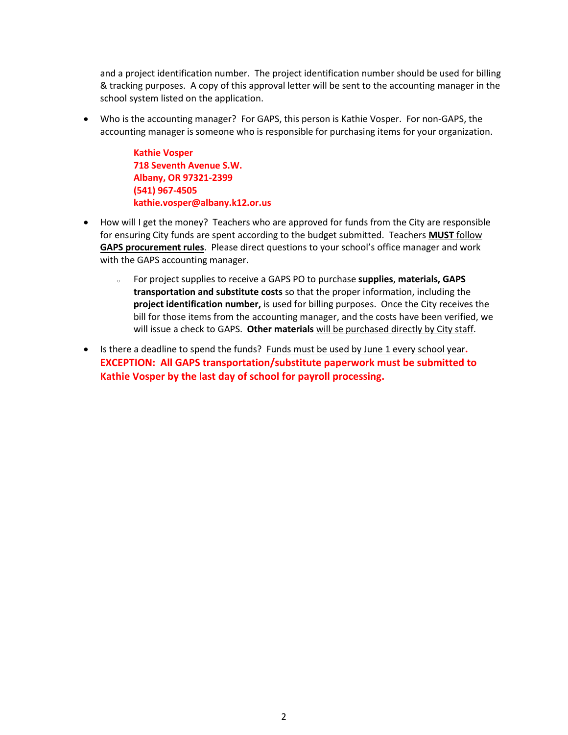and a project identification number. The project identification number should be used for billing & tracking purposes. A copy of this approval letter will be sent to the accounting manager in the school system listed on the application.

• Who is the accounting manager? For GAPS, this person is Kathie Vosper. For non-GAPS, the accounting manager is someone who is responsible for purchasing items for your organization.

> **Kathie Vosper 718 Seventh Avenue S.W. Albany, OR 97321-2399 (541) 967-4505 kathie.vosper@albany.k12.or.us**

- How will I get the money? Teachers who are approved for funds from the City are responsible for ensuring City funds are spent according to the budget submitted. Teachers **MUST** follow **GAPS procurement rules**. Please direct questions to your school's office manager and work with the GAPS accounting manager.
	- <sup>o</sup> For project supplies to receive a GAPS PO to purchase **supplies**, **materials, GAPS transportation and substitute costs** so that the proper information, including the **project identification number,** is used for billing purposes. Once the City receives the bill for those items from the accounting manager, and the costs have been verified, we will issue a check to GAPS. **Other materials** will be purchased directly by City staff.
- Is there a deadline to spend the funds? Funds must be used by June 1 every school year**. EXCEPTION: All GAPS transportation/substitute paperwork must be submitted to Kathie Vosper by the last day of school for payroll processing.**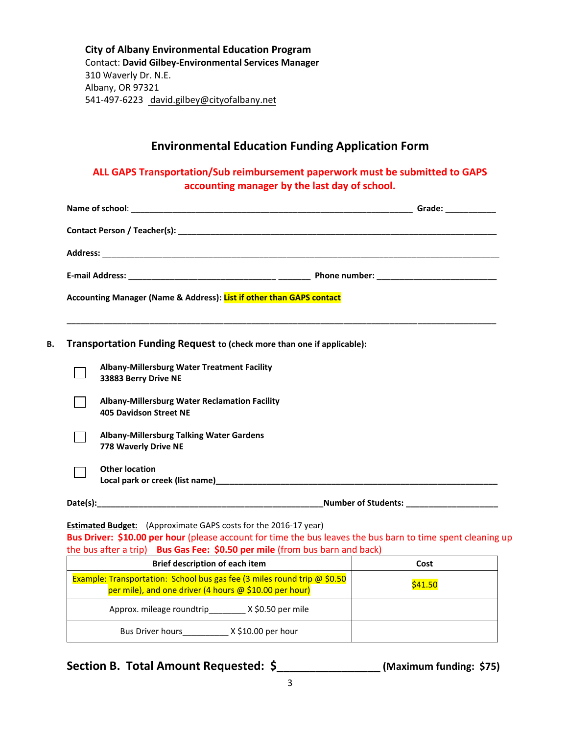**City of Albany Environmental Education Program**  Contact: **David Gilbey-Environmental Services Manager**  310 Waverly Dr. N.E. Albany, OR 97321 541-497-6223 david.gilbey@cityofalbany.net

### **Environmental Education Funding Application Form**

**ALL GAPS Transportation/Sub reimbursement paperwork must be submitted to GAPS accounting manager by the last day of school.**

|  | Accounting Manager (Name & Address): List if other than GAPS contact           |                                                                                                                       |
|--|--------------------------------------------------------------------------------|-----------------------------------------------------------------------------------------------------------------------|
|  | Transportation Funding Request to (check more than one if applicable):         | <u> 1989 - Johann Harry Harry Harry Harry Harry Harry Harry Harry Harry Harry Harry Harry Harry Harry Harry Harry</u> |
|  | Albany-Millersburg Water Treatment Facility<br>33883 Berry Drive NE            |                                                                                                                       |
|  | Albany-Millersburg Water Reclamation Facility<br><b>405 Davidson Street NE</b> |                                                                                                                       |
|  | <b>Albany-Millersburg Talking Water Gardens</b><br>778 Waverly Drive NE        |                                                                                                                       |
|  | <b>Other location</b>                                                          |                                                                                                                       |
|  |                                                                                |                                                                                                                       |

| Brief description of each item                                                                                                            | Cost    |
|-------------------------------------------------------------------------------------------------------------------------------------------|---------|
| Example: Transportation: School bus gas fee (3 miles round trip $\omega$ \$0.50<br>per mile), and one driver (4 hours @ \$10.00 per hour) | \$41.50 |
| X \$0.50 per mile<br>Approx. mileage roundtrip                                                                                            |         |
| $X$ \$10.00 per hour<br><b>Bus Driver hours</b>                                                                                           |         |

**Section B. Total Amount Requested: \$\_\_\_\_\_\_\_\_\_\_\_\_\_\_\_\_ (Maximum funding: \$75)**